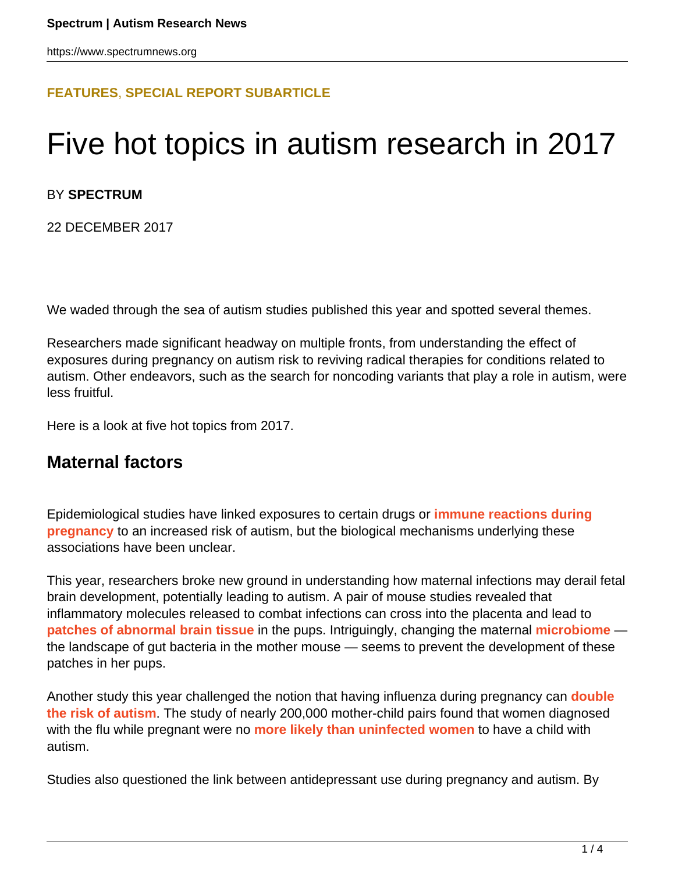### **[FEATURES](HTTPS://WWW.SPECTRUMNEWS.ORG/FEATURES/)**, **[SPECIAL REPORT SUBARTICLE](HTTPS://WWW.SPECTRUMNEWS.ORG/FEATURES/SPECIAL-REPORT/)**

# Five hot topics in autism research in 2017

#### BY **SPECTRUM**

22 DECEMBER 2017

We waded through the sea of autism studies published this year and spotted several themes.

Researchers made significant headway on multiple fronts, from understanding the effect of exposures during pregnancy on autism risk to reviving radical therapies for conditions related to autism. Other endeavors, such as the search for noncoding variants that play a role in autism, were less fruitful.

Here is a look at five hot topics from 2017.

## **Maternal factors**

Epidemiological studies have linked exposures to certain drugs or **[immune reactions during](https://www.spectrumnews.org/news/large-study-links-maternal-infection-to-autism-risk/) [pregnancy](https://www.spectrumnews.org/news/large-study-links-maternal-infection-to-autism-risk/)** to an increased risk of autism, but the biological mechanisms underlying these associations have been unclear.

This year, researchers broke new ground in understanding how maternal infections may derail fetal brain development, potentially leading to autism. A pair of mouse studies revealed that inflammatory molecules released to combat infections can cross into the placenta and lead to **[patches of abnormal brain tissue](https://www.spectrumnews.org/news/maternal-infection-may-trigger-autism-traits-via-neuronal-patches/)** in the pups. Intriguingly, changing the maternal **[microbiome](https://www.spectrumnews.org/features/deep-dive/gut-feeling-how-microbes-shape-autism/)** the landscape of gut bacteria in the mother mouse — seems to prevent the development of these patches in her pups.

Another study this year challenged the notion that having influenza during pregnancy can **[double](https://www.spectrumnews.org/news/flu-during-pregnancy-raises-childs-risk-of-autism/) [the risk of autism](https://www.spectrumnews.org/news/flu-during-pregnancy-raises-childs-risk-of-autism/)**. The study of nearly 200,000 mother-child pairs found that women diagnosed with the flu while pregnant were no **[more likely than uninfected women](https://www.spectrumnews.org/news/autisms-link-flu-pregnancy-may-fluke/)** to have a child with autism.

Studies also questioned the link between antidepressant use during pregnancy and autism. By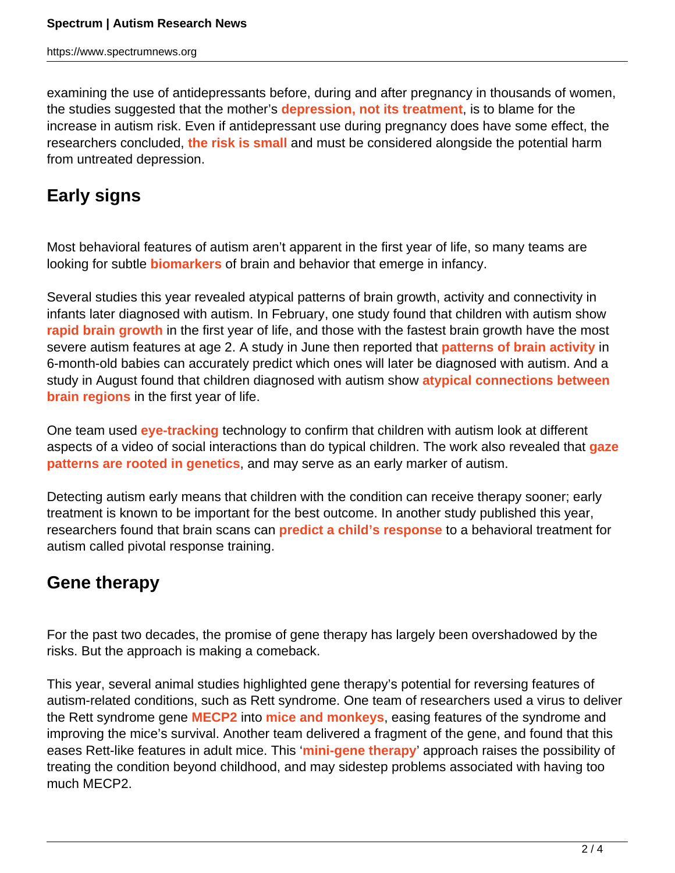examining the use of antidepressants before, during and after pregnancy in thousands of women, the studies suggested that the mother's **[depression, not its treatment](https://www.spectrumnews.org/news/trio-studies-cast-doubt-link-autism-antidepressants/)**, is to blame for the increase in autism risk. Even if antidepressant use during pregnancy does have some effect, the researchers concluded, **[the risk is small](https://www.spectrumnews.org/news/studies-send-mixed-messages-antidepressants-link-autism/)** and must be considered alongside the potential harm from untreated depression.

# **Early signs**

Most behavioral features of autism aren't apparent in the first year of life, so many teams are looking for subtle **[biomarkers](https://www.spectrumnews.org/wiki/biomarkers/)** of brain and behavior that emerge in infancy.

Several studies this year revealed atypical patterns of brain growth, activity and connectivity in infants later diagnosed with autism. In February, one study found that children with autism show **[rapid brain growth](https://www.spectrumnews.org/news/rapid-brain-growth-in-infancy-may-signal-autism/)** in the first year of life, and those with the fastest brain growth have the most severe autism features at age 2. A study in June then reported that **[patterns of brain activity](https://www.spectrumnews.org/news/brain-scans-may-forecast-autism-high-risk-infants/)** in 6-month-old babies can accurately predict which ones will later be diagnosed with autism. And a study in August found that children diagnosed with autism show **[atypical connections between](https://www.spectrumnews.org/news/weak-wiring-infant-brains-augurs-severe-autism-features/) [brain regions](https://www.spectrumnews.org/news/weak-wiring-infant-brains-augurs-severe-autism-features/)** in the first year of life.

One team used **[eye-tracking](https://www.spectrumnews.org/wiki/eye-tracking)** technology to confirm that children with autism look at different aspects of a video of social interactions than do typical children. The work also revealed that **[gaze](https://www.spectrumnews.org/news/genetics-guides-gaze-social-interactions-study-finds/) [patterns are rooted in genetics](https://www.spectrumnews.org/news/genetics-guides-gaze-social-interactions-study-finds/)**, and may serve as an early marker of autism.

Detecting autism early means that children with the condition can receive therapy sooner; early treatment is known to be important for the best outcome. In another study published this year, researchers found that brain scans can **[predict a child's response](https://www.spectrumnews.org/news/brain-scans-may-forecast-effectiveness-autism-treatment/)** to a behavioral treatment for autism called pivotal response training.

# **Gene therapy**

For the past two decades, the promise of gene therapy has largely been overshadowed by the risks. But the approach is making a comeback.

This year, several animal studies highlighted gene therapy's potential for reversing features of autism-related conditions, such as Rett syndrome. One team of researchers used a virus to deliver the Rett syndrome gene **[MECP2](https://gene.sfari.org/database/human-gene/Mecp2)** into **[mice and monkeys](https://www.spectrumnews.org/news/scientists-move-closer-gene-therapy-rett-syndrome/)**, easing features of the syndrome and improving the mice's survival. Another team delivered a fragment of the gene, and found that this eases Rett-like features in adult mice. This '**[mini-gene therapy](https://www.spectrumnews.org/news/mini-gene-therapy-relieves-features-rett-syndrome-mice/)**' approach raises the possibility of treating the condition beyond childhood, and may sidestep problems associated with having too much MECP2.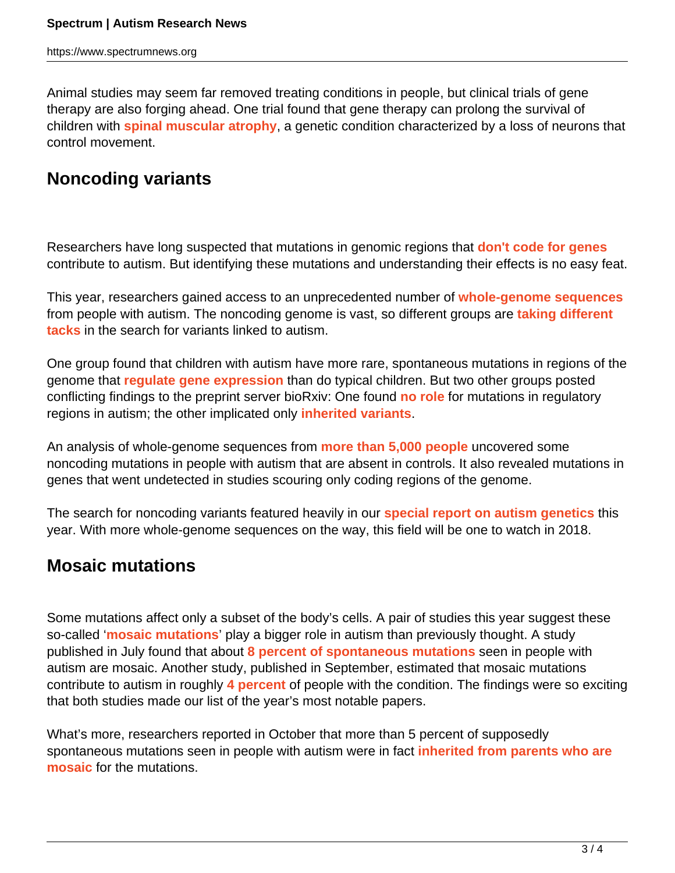Animal studies may seem far removed treating conditions in people, but clinical trials of gene therapy are also forging ahead. One trial found that gene therapy can prolong the survival of children with **[spinal muscular atrophy](https://www.ncbi.nlm.nih.gov/pubmed/29091557)**, a genetic condition characterized by a loss of neurons that control movement.

# **Noncoding variants**

Researchers have long suspected that mutations in genomic regions that **[don't code for genes](https://www.spectrumnews.org/news/genomes-dark-side-steps-into-spotlight-of-autism-research/)** contribute to autism. But identifying these mutations and understanding their effects is no easy feat.

This year, researchers gained access to an unprecedented number of **[whole-genome sequences](https://www.spectrumnews.org/news/toolbox/whole-genomes-may-power-search-autism-risk-factors/)** from people with autism. The noncoding genome is vast, so different groups are **[taking different](https://www.spectrumnews.org/opinion/viewpoint/whole-genomes-may-hold-clues-autism-patience-key/) [tacks](https://www.spectrumnews.org/opinion/viewpoint/whole-genomes-may-hold-clues-autism-patience-key/)** in the search for variants linked to autism.

One group found that children with autism have more rare, spontaneous mutations in regions of the genome that **[regulate gene expression](https://www.spectrumnews.org/news/toolbox/whole-genomes-may-power-search-autism-risk-factors/)** than do typical children. But two other groups posted conflicting findings to the preprint server bioRxiv: One found **[no role](https://www.biorxiv.org/content/early/2017/04/13/127043)** for mutations in regulatory regions in autism; the other implicated only **[inherited variants](https://www.biorxiv.org/content/early/2017/04/27/102327)**.

An analysis of whole-genome sequences from **[more than 5,000 people](https://www.spectrumnews.org/news/sequencing-thousands-of-whole-genomes-yields-new-autism-genes/)** uncovered some noncoding mutations in people with autism that are absent in controls. It also revealed mutations in genes that went undetected in studies scouring only coding regions of the genome.

The search for noncoding variants featured heavily in our **[special report on autism genetics](https://www.spectrumnews.org/features/special-reports/the-genetics-of-autism/)** this year. With more whole-genome sequences on the way, this field will be one to watch in 2018.

# **Mosaic mutations**

Some mutations affect only a subset of the body's cells. A pair of studies this year suggest these so-called '**[mosaic mutations](https://www.spectrumnews.org/features/webinars/journal-club-mosaic-mutations-autism/)**' play a bigger role in autism than previously thought. A study published in July found that about **[8 percent of spontaneous mutations](https://www.spectrumnews.org/news/large-study-shines-spotlight-mosaic-mutations-autism/)** seen in people with autism are mosaic. Another study, published in September, estimated that mosaic mutations contribute to autism in roughly **[4 percent](https://www.spectrumnews.org/news/sizeable-fraction-autism-risk-traced-mosaic-mutations/)** of people with the condition. The findings were so exciting that both studies made our list of the year's most notable papers.

What's more, researchers reported in October that more than 5 percent of supposedly spontaneous mutations seen in people with autism were in fact **[inherited from parents who are](https://www.spectrumnews.org/news/mosaic-mutations-sperm-point-increased-autism-risk/) [mosaic](https://www.spectrumnews.org/news/mosaic-mutations-sperm-point-increased-autism-risk/)** for the mutations.